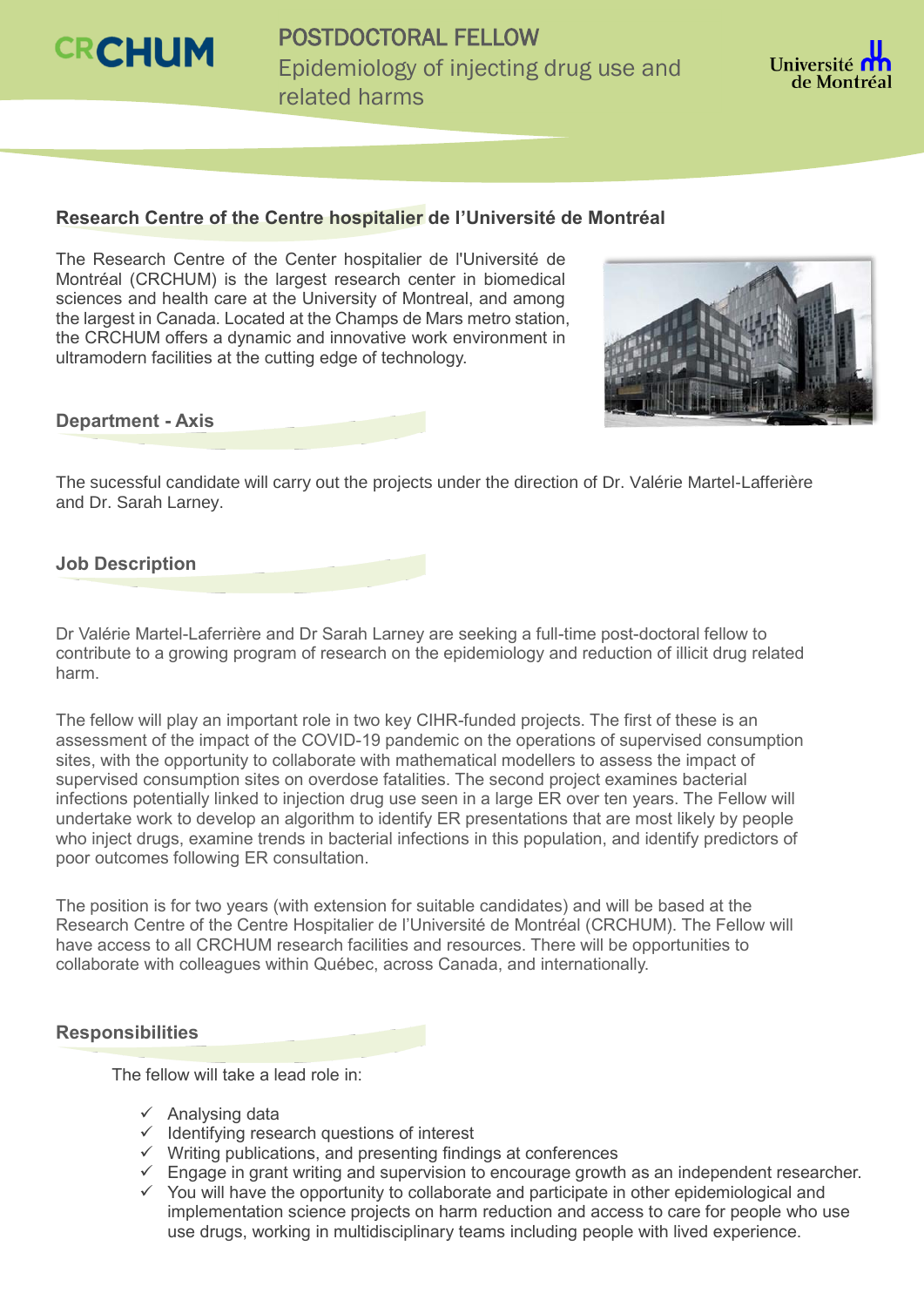

POSTDOCTORAL FELLOW Epidemiology of injecting drug use and related harms



## **Research Centre of the Centre hospitalier de l'Université de Montréal**

The Research Centre of the Center hospitalier de l'Université de Montréal (CRCHUM) is the largest research center in biomedical sciences and health care at the University of Montreal, and among the largest in Canada. Located at the Champs de Mars metro station, the CRCHUM offers a dynamic and innovative work environment in ultramodern facilities at the cutting edge of technology.



#### **Department - Axis**

The sucessful candidate will carry out the projects under the direction of Dr. Valérie Martel-Lafferière and Dr. Sarah Larney.

## **Job Description**

Dr Valérie Martel-Laferrière and Dr Sarah Larney are seeking a full-time post-doctoral fellow to contribute to a growing program of research on the epidemiology and reduction of illicit drug related harm.

The fellow will play an important role in two key CIHR-funded projects. The first of these is an assessment of the impact of the COVID-19 pandemic on the operations of supervised consumption sites, with the opportunity to collaborate with mathematical modellers to assess the impact of supervised consumption sites on overdose fatalities. The second project examines bacterial infections potentially linked to injection drug use seen in a large ER over ten years. The Fellow will undertake work to develop an algorithm to identify ER presentations that are most likely by people who inject drugs, examine trends in bacterial infections in this population, and identify predictors of poor outcomes following ER consultation.

The position is for two years (with extension for suitable candidates) and will be based at the Research Centre of the Centre Hospitalier de l'Université de Montréal (CRCHUM). The Fellow will have access to all CRCHUM research facilities and resources. There will be opportunities to collaborate with colleagues within Québec, across Canada, and internationally.

## **Responsibilities**

The fellow will take a lead role in:

- $\checkmark$  Analysing data
- $\checkmark$  Identifying research questions of interest
- $\checkmark$  Writing publications, and presenting findings at conferences
- $\checkmark$  Engage in grant writing and supervision to encourage growth as an independent researcher.
- $\checkmark$  You will have the opportunity to collaborate and participate in other epidemiological and implementation science projects on harm reduction and access to care for people who use use drugs, working in multidisciplinary teams including people with lived experience.